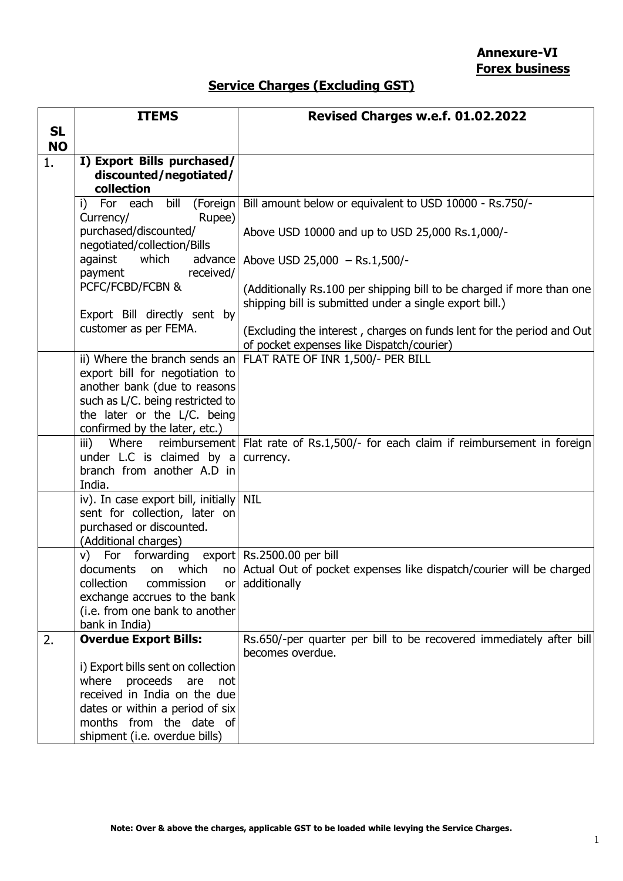## **Service Charges (Excluding GST)**

|           | <b>ITEMS</b>                                                     | Revised Charges w.e.f. 01.02.2022                                                                                                |
|-----------|------------------------------------------------------------------|----------------------------------------------------------------------------------------------------------------------------------|
| <b>SL</b> |                                                                  |                                                                                                                                  |
| <b>NO</b> |                                                                  |                                                                                                                                  |
| 1.        | I) Export Bills purchased/                                       |                                                                                                                                  |
|           | discounted/negotiated/<br>collection                             |                                                                                                                                  |
|           | i)<br>For each<br>bill                                           | (Foreign   Bill amount below or equivalent to USD 10000 - Rs.750/-                                                               |
|           | Rupee)<br>Currency/                                              |                                                                                                                                  |
|           | purchased/discounted/                                            | Above USD 10000 and up to USD 25,000 Rs.1,000/-                                                                                  |
|           | negotiated/collection/Bills                                      |                                                                                                                                  |
|           | against<br>which                                                 | advance Above USD 25,000 - Rs.1,500/-                                                                                            |
|           | received/<br>payment<br>PCFC/FCBD/FCBN &                         |                                                                                                                                  |
|           |                                                                  | (Additionally Rs.100 per shipping bill to be charged if more than one<br>shipping bill is submitted under a single export bill.) |
|           | Export Bill directly sent by                                     |                                                                                                                                  |
|           | customer as per FEMA.                                            | (Excluding the interest, charges on funds lent for the period and Out                                                            |
|           |                                                                  | of pocket expenses like Dispatch/courier)                                                                                        |
|           | ii) Where the branch sends an                                    | FLAT RATE OF INR 1,500/- PER BILL                                                                                                |
|           | export bill for negotiation to                                   |                                                                                                                                  |
|           | another bank (due to reasons<br>such as L/C. being restricted to |                                                                                                                                  |
|           | the later or the L/C. being                                      |                                                                                                                                  |
|           | confirmed by the later, etc.)                                    |                                                                                                                                  |
|           | $\overline{\mathsf{iii}}$ )                                      | Where reimbursement Flat rate of Rs.1,500/- for each claim if reimbursement in foreign                                           |
|           | under L.C is claimed by a                                        | currency.                                                                                                                        |
|           | branch from another A.D in<br>India.                             |                                                                                                                                  |
|           | iv). In case export bill, initially                              | <b>NIL</b>                                                                                                                       |
|           | sent for collection, later on                                    |                                                                                                                                  |
|           | purchased or discounted.                                         |                                                                                                                                  |
|           | (Additional charges)                                             |                                                                                                                                  |
|           | v) For forwarding export Rs.2500.00 per bill                     |                                                                                                                                  |
|           | which<br>documents<br>on                                         | no Actual Out of pocket expenses like dispatch/courier will be charged                                                           |
|           | collection<br>commission<br>or<br>exchange accrues to the bank   | additionally                                                                                                                     |
|           | (i.e. from one bank to another                                   |                                                                                                                                  |
|           | bank in India)                                                   |                                                                                                                                  |
| 2.        | <b>Overdue Export Bills:</b>                                     | Rs.650/-per quarter per bill to be recovered immediately after bill                                                              |
|           |                                                                  | becomes overdue.                                                                                                                 |
|           | i) Export bills sent on collection<br>where proceeds are not     |                                                                                                                                  |
|           | received in India on the due                                     |                                                                                                                                  |
|           | dates or within a period of six                                  |                                                                                                                                  |
|           | months from the date of                                          |                                                                                                                                  |
|           | shipment (i.e. overdue bills)                                    |                                                                                                                                  |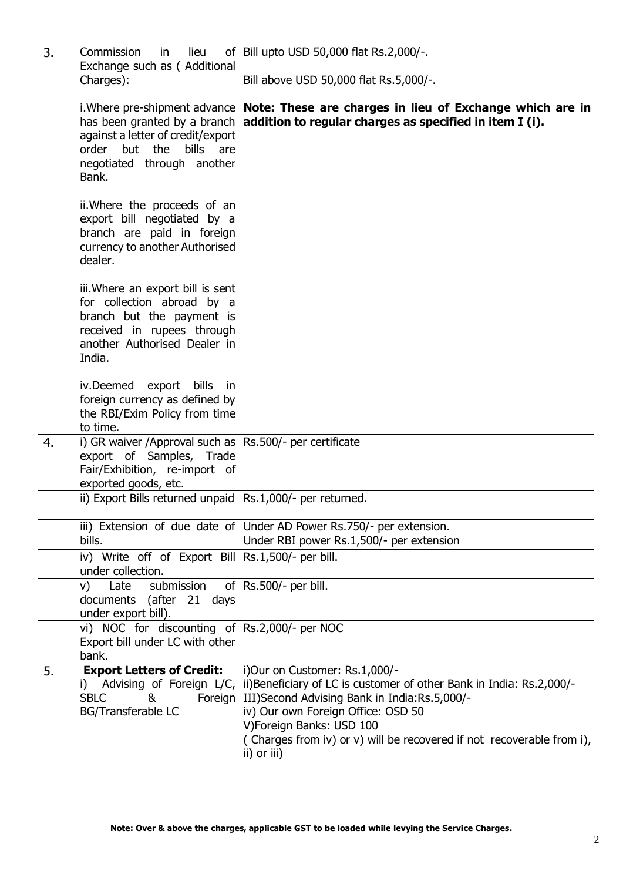| 3. | Commission<br>lieu<br>in<br>Exchange such as ( Additional                                                                                                                  | of   Bill upto USD 50,000 flat Rs.2,000/-.                                                                                                                                                                                                                                                                     |
|----|----------------------------------------------------------------------------------------------------------------------------------------------------------------------------|----------------------------------------------------------------------------------------------------------------------------------------------------------------------------------------------------------------------------------------------------------------------------------------------------------------|
|    | Charges):                                                                                                                                                                  | Bill above USD 50,000 flat Rs.5,000/-.                                                                                                                                                                                                                                                                         |
|    | i. Where pre-shipment advance<br>has been granted by a branch<br>against a letter of credit/export<br>order but the<br>bills<br>are<br>negotiated through another<br>Bank. | Note: These are charges in lieu of Exchange which are in<br>addition to regular charges as specified in item I (i).                                                                                                                                                                                            |
|    | ii. Where the proceeds of an<br>export bill negotiated by a<br>branch are paid in foreign<br>currency to another Authorised<br>dealer.                                     |                                                                                                                                                                                                                                                                                                                |
|    | iii. Where an export bill is sent<br>for collection abroad by a<br>branch but the payment is<br>received in rupees through<br>another Authorised Dealer in<br>India.       |                                                                                                                                                                                                                                                                                                                |
|    | iv.Deemed export bills in<br>foreign currency as defined by<br>the RBI/Exim Policy from time<br>to time.                                                                   |                                                                                                                                                                                                                                                                                                                |
| 4. | i) GR waiver / Approval such as Rs.500/- per certificate<br>export of Samples, Trade<br>Fair/Exhibition, re-import of<br>exported goods, etc.                              |                                                                                                                                                                                                                                                                                                                |
|    | ii) Export Bills returned unpaid   Rs.1,000/- per returned.                                                                                                                |                                                                                                                                                                                                                                                                                                                |
|    | bills.                                                                                                                                                                     | iii) Extension of due date of Under AD Power Rs.750/- per extension.<br>Under RBI power Rs.1,500/- per extension                                                                                                                                                                                               |
|    | iv) Write off of Export Bill Rs.1,500/- per bill.<br>under collection.                                                                                                     |                                                                                                                                                                                                                                                                                                                |
|    | submission<br>Late<br>V)<br>documents (after 21 days<br>under export bill).                                                                                                | of $\vert$ Rs.500/- per bill.                                                                                                                                                                                                                                                                                  |
|    | vi) NOC for discounting of Rs.2,000/- per NOC<br>Export bill under LC with other<br>bank.                                                                                  |                                                                                                                                                                                                                                                                                                                |
| 5. | <b>Export Letters of Credit:</b><br>i) Advising of Foreign L/C,<br><b>SBLC</b><br>Foreign<br>&<br><b>BG/Transferable LC</b>                                                | i)Our on Customer: Rs.1,000/-<br>ii)Beneficiary of LC is customer of other Bank in India: Rs.2,000/-<br>III)Second Advising Bank in India:Rs.5,000/-<br>iv) Our own Foreign Office: OSD 50<br>V)Foreign Banks: USD 100<br>(Charges from iv) or v) will be recovered if not recoverable from i),<br>ii) or iii) |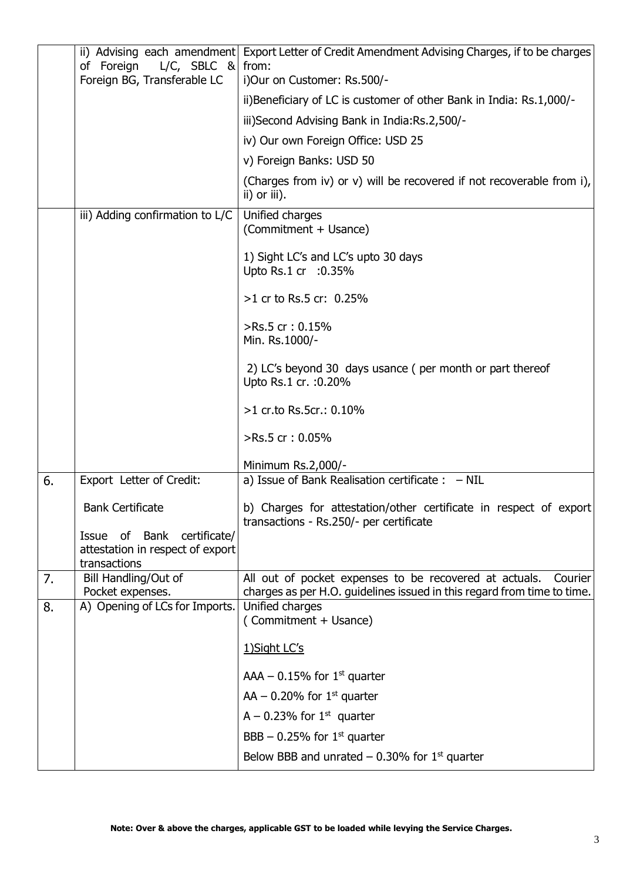|    | $L/C$ , SBLC & from:<br>of Foreign<br>Foreign BG, Transferable LC              | ii) Advising each amendment Export Letter of Credit Amendment Advising Charges, if to be charges<br>i)Our on Customer: Rs.500/-              |
|----|--------------------------------------------------------------------------------|----------------------------------------------------------------------------------------------------------------------------------------------|
|    |                                                                                | ii) Beneficiary of LC is customer of other Bank in India: Rs.1,000/-                                                                         |
|    |                                                                                | iii)Second Advising Bank in India:Rs.2,500/-                                                                                                 |
|    |                                                                                | iv) Our own Foreign Office: USD 25                                                                                                           |
|    |                                                                                |                                                                                                                                              |
|    |                                                                                | v) Foreign Banks: USD 50                                                                                                                     |
|    |                                                                                | (Charges from iv) or v) will be recovered if not recoverable from i),<br>ii) or iii).                                                        |
|    | iii) Adding confirmation to L/C                                                | Unified charges<br>(Commitment + Usance)                                                                                                     |
|    |                                                                                | 1) Sight LC's and LC's upto 30 days<br>Upto Rs.1 cr : 0.35%                                                                                  |
|    |                                                                                | $>1$ cr to Rs.5 cr: 0.25%                                                                                                                    |
|    |                                                                                | >Rs.5 cr: 0.15%<br>Min. Rs.1000/-                                                                                                            |
|    |                                                                                | 2) LC's beyond 30 days usance (per month or part thereof<br>Upto Rs.1 cr. : 0.20%                                                            |
|    |                                                                                | >1 cr.to Rs.5cr.: 0.10%                                                                                                                      |
|    |                                                                                | >Rs.5 cr: 0.05%                                                                                                                              |
|    |                                                                                | Minimum Rs.2,000/-                                                                                                                           |
| 6. | Export Letter of Credit:                                                       | a) Issue of Bank Realisation certificate : $-$ NIL                                                                                           |
|    | <b>Bank Certificate</b>                                                        | b) Charges for attestation/other certificate in respect of export<br>transactions - Rs.250/- per certificate                                 |
|    | Issue of Bank certificate/<br>attestation in respect of export<br>transactions |                                                                                                                                              |
| 7. | Bill Handling/Out of<br>Pocket expenses.                                       | All out of pocket expenses to be recovered at actuals.<br>Courier<br>charges as per H.O. guidelines issued in this regard from time to time. |
| 8. | A) Opening of LCs for Imports.                                                 | Unified charges<br>(Commitment + Usance)                                                                                                     |
|    |                                                                                | 1) Sight LC's                                                                                                                                |
|    |                                                                                | AAA $-$ 0.15% for 1 <sup>st</sup> quarter                                                                                                    |
|    |                                                                                | AA – 0.20% for $1st$ quarter                                                                                                                 |
|    |                                                                                | A – 0.23% for $1st$ quarter                                                                                                                  |
|    |                                                                                | BBB – 0.25% for $1st$ quarter                                                                                                                |
|    |                                                                                | Below BBB and unrated $-$ 0.30% for 1 <sup>st</sup> quarter                                                                                  |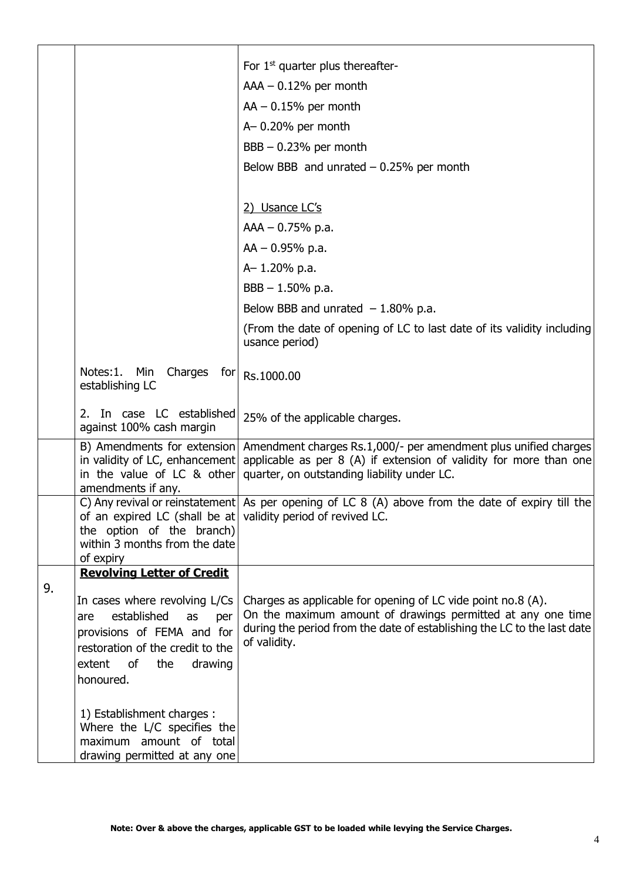|    |                                                                                                                                                                                | For $1st$ quarter plus thereafter-<br>$AAA - 0.12%$ per month<br>$AA - 0.15%$ per month<br>$A - 0.20\%$ per month<br>$BBB - 0.23%$ per month<br>Below BBB and unrated $-0.25%$ per month                                                          |
|----|--------------------------------------------------------------------------------------------------------------------------------------------------------------------------------|---------------------------------------------------------------------------------------------------------------------------------------------------------------------------------------------------------------------------------------------------|
|    |                                                                                                                                                                                | 2) Usance LC's                                                                                                                                                                                                                                    |
|    |                                                                                                                                                                                | $AAA - 0.75% p.a.$                                                                                                                                                                                                                                |
|    |                                                                                                                                                                                | $AA - 0.95% p.a.$                                                                                                                                                                                                                                 |
|    |                                                                                                                                                                                | A-1.20% p.a.                                                                                                                                                                                                                                      |
|    |                                                                                                                                                                                | $BBB - 1.50\%$ p.a.                                                                                                                                                                                                                               |
|    |                                                                                                                                                                                | Below BBB and unrated $-1.80\%$ p.a.                                                                                                                                                                                                              |
|    |                                                                                                                                                                                | (From the date of opening of LC to last date of its validity including<br>usance period)                                                                                                                                                          |
|    | Notes: 1.<br>Min<br>Charges<br>for<br>establishing LC                                                                                                                          | Rs.1000.00                                                                                                                                                                                                                                        |
|    | 2. In case LC established<br>against 100% cash margin                                                                                                                          | 25% of the applicable charges.                                                                                                                                                                                                                    |
|    | in the value of LC $\&$ other<br>amendments if any.                                                                                                                            | B) Amendments for extension Amendment charges Rs.1,000/- per amendment plus unified charges<br>in validity of LC, enhancement applicable as per $8$ (A) if extension of validity for more than one<br>quarter, on outstanding liability under LC. |
|    | of an expired LC (shall be at validity period of revived LC.<br>the option of the branch)<br>within 3 months from the date<br>of expiry                                        | C) Any revival or reinstatement As per opening of LC 8 (A) above from the date of expiry till the                                                                                                                                                 |
|    | <b>Revolving Letter of Credit</b>                                                                                                                                              |                                                                                                                                                                                                                                                   |
| 9. | In cases where revolving L/Cs<br>established<br>as<br>are<br>per<br>provisions of FEMA and for<br>restoration of the credit to the<br>extent of<br>the<br>drawing<br>honoured. | Charges as applicable for opening of LC vide point no.8 (A).<br>On the maximum amount of drawings permitted at any one time<br>during the period from the date of establishing the LC to the last date<br>of validity.                            |
|    | 1) Establishment charges :<br>Where the L/C specifies the<br>maximum amount of total<br>drawing permitted at any one                                                           |                                                                                                                                                                                                                                                   |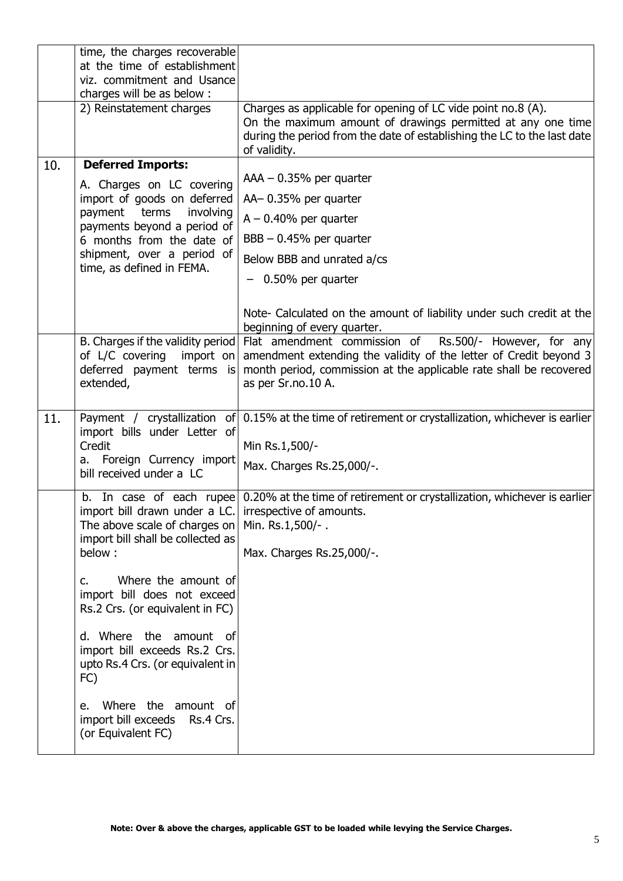|     | time, the charges recoverable<br>at the time of establishment<br>viz. commitment and Usance                                                                                                                      |                                                                                                                                                                                                                            |
|-----|------------------------------------------------------------------------------------------------------------------------------------------------------------------------------------------------------------------|----------------------------------------------------------------------------------------------------------------------------------------------------------------------------------------------------------------------------|
|     | charges will be as below:                                                                                                                                                                                        |                                                                                                                                                                                                                            |
|     | 2) Reinstatement charges                                                                                                                                                                                         | Charges as applicable for opening of LC vide point no.8 (A).<br>On the maximum amount of drawings permitted at any one time<br>during the period from the date of establishing the LC to the last date<br>of validity.     |
| 10. | <b>Deferred Imports:</b>                                                                                                                                                                                         |                                                                                                                                                                                                                            |
|     | A. Charges on LC covering<br>import of goods on deferred<br>payment<br>terms<br>involving<br>payments beyond a period of<br>6 months from the date of<br>shipment, over a period of<br>time, as defined in FEMA. | $AAA - 0.35%$ per quarter<br>AA-0.35% per quarter<br>$A - 0.40\%$ per quarter<br>$BBB - 0.45\%$ per quarter<br>Below BBB and unrated a/cs<br>$-$ 0.50% per quarter                                                         |
|     |                                                                                                                                                                                                                  |                                                                                                                                                                                                                            |
|     |                                                                                                                                                                                                                  | Note- Calculated on the amount of liability under such credit at the<br>beginning of every quarter.                                                                                                                        |
|     | B. Charges if the validity period<br>of L/C covering<br>import on<br>deferred payment terms is<br>extended,                                                                                                      | Flat amendment commission of<br>Rs.500/- However, for any<br>amendment extending the validity of the letter of Credit beyond 3<br>month period, commission at the applicable rate shall be recovered<br>as per Sr.no.10 A. |
| 11. | Payment / crystallization<br>import bills under Letter of<br>Credit<br>a. Foreign Currency import<br>bill received under a LC                                                                                    | of 0.15% at the time of retirement or crystallization, whichever is earlier<br>Min Rs.1,500/-<br>Max. Charges Rs.25,000/-.                                                                                                 |
|     | b.<br>import bill drawn under a LC.   irrespective of amounts.<br>The above scale of charges on<br>import bill shall be collected as<br>below:                                                                   | In case of each rupee 0.20% at the time of retirement or crystallization, whichever is earlier<br>Min. Rs.1,500/-.<br>Max. Charges Rs.25,000/-.                                                                            |
|     | Where the amount of<br>$C_{1}$<br>import bill does not exceed<br>Rs.2 Crs. (or equivalent in FC)                                                                                                                 |                                                                                                                                                                                                                            |
|     | d. Where the amount of<br>import bill exceeds Rs.2 Crs.<br>upto Rs.4 Crs. (or equivalent in<br>FC)                                                                                                               |                                                                                                                                                                                                                            |
|     | Where the amount of<br>e.<br>import bill exceeds<br>Rs.4 Crs.<br>(or Equivalent FC)                                                                                                                              |                                                                                                                                                                                                                            |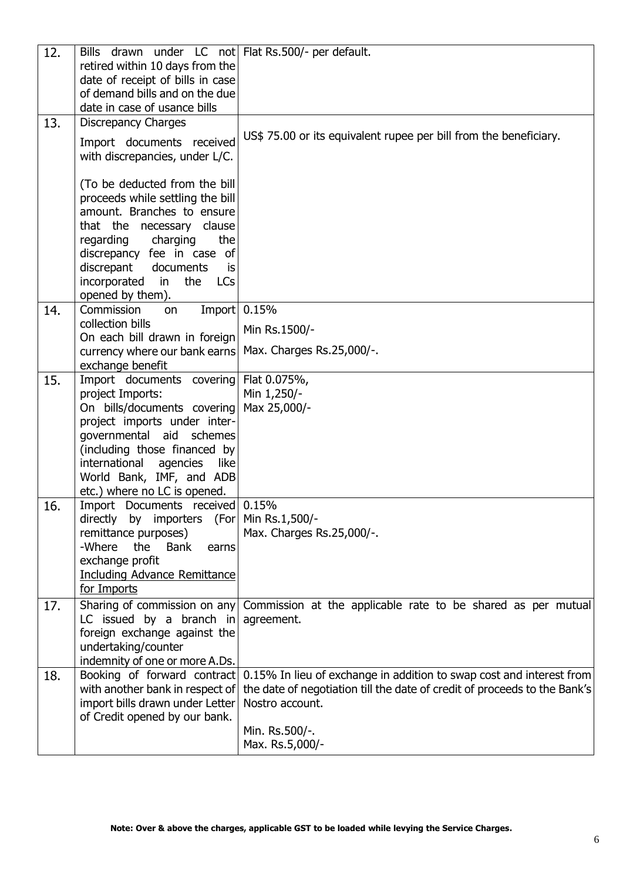| 12. | Bills drawn under LC not Flat Rs.500/- per default.      |                                                                           |
|-----|----------------------------------------------------------|---------------------------------------------------------------------------|
|     | retired within 10 days from the                          |                                                                           |
|     | date of receipt of bills in case                         |                                                                           |
|     | of demand bills and on the due                           |                                                                           |
|     | date in case of usance bills                             |                                                                           |
| 13. | <b>Discrepancy Charges</b>                               |                                                                           |
|     |                                                          | US\$ 75.00 or its equivalent rupee per bill from the beneficiary.         |
|     | Import documents received                                |                                                                           |
|     | with discrepancies, under L/C.                           |                                                                           |
|     | (To be deducted from the bill                            |                                                                           |
|     | proceeds while settling the bill                         |                                                                           |
|     | amount. Branches to ensure                               |                                                                           |
|     | that the necessary clause                                |                                                                           |
|     | the                                                      |                                                                           |
|     | regarding<br>charging                                    |                                                                           |
|     | discrepancy fee in case of<br>documents                  |                                                                           |
|     | discrepant<br>is<br>the                                  |                                                                           |
|     | incorporated in<br><b>LCs</b><br>opened by them).        |                                                                           |
| 14. | Commission<br>on                                         | Import 0.15%                                                              |
|     | collection bills                                         |                                                                           |
|     | On each bill drawn in foreign                            | Min Rs.1500/-                                                             |
|     | currency where our bank earns                            | Max. Charges Rs.25,000/-.                                                 |
|     | exchange benefit                                         |                                                                           |
| 15. | Import documents covering                                | Flat 0.075%,                                                              |
|     | project Imports:                                         | Min 1,250/-                                                               |
|     | On bills/documents covering                              | Max 25,000/-                                                              |
|     | project imports under inter-                             |                                                                           |
|     | governmental aid<br>schemes                              |                                                                           |
|     | (including those financed by                             |                                                                           |
|     | international<br>agencies like                           |                                                                           |
|     | World Bank, IMF, and ADB<br>etc.) where no LC is opened. |                                                                           |
| 16. | Import Documents received 0.15%                          |                                                                           |
|     | directly by importers                                    | (For Min Rs.1,500/-                                                       |
|     | remittance purposes)                                     | Max. Charges Rs.25,000/-.                                                 |
|     | -Where<br>the<br><b>Bank</b><br>earns                    |                                                                           |
|     | exchange profit                                          |                                                                           |
|     | <b>Including Advance Remittance</b>                      |                                                                           |
|     | for Imports                                              |                                                                           |
| 17. | Sharing of commission on any                             | Commission at the applicable rate to be shared as per mutual              |
|     | LC issued by a branch in                                 | agreement.                                                                |
|     | foreign exchange against the                             |                                                                           |
|     | undertaking/counter                                      |                                                                           |
|     | indemnity of one or more A.Ds.                           |                                                                           |
| 18. | Booking of forward contract                              | 0.15% In lieu of exchange in addition to swap cost and interest from      |
|     | with another bank in respect of                          | the date of negotiation till the date of credit of proceeds to the Bank's |
|     | import bills drawn under Letter                          | Nostro account.                                                           |
|     | of Credit opened by our bank.                            |                                                                           |
|     |                                                          | Min. Rs.500/-.                                                            |
|     |                                                          | Max. Rs.5,000/-                                                           |
|     |                                                          |                                                                           |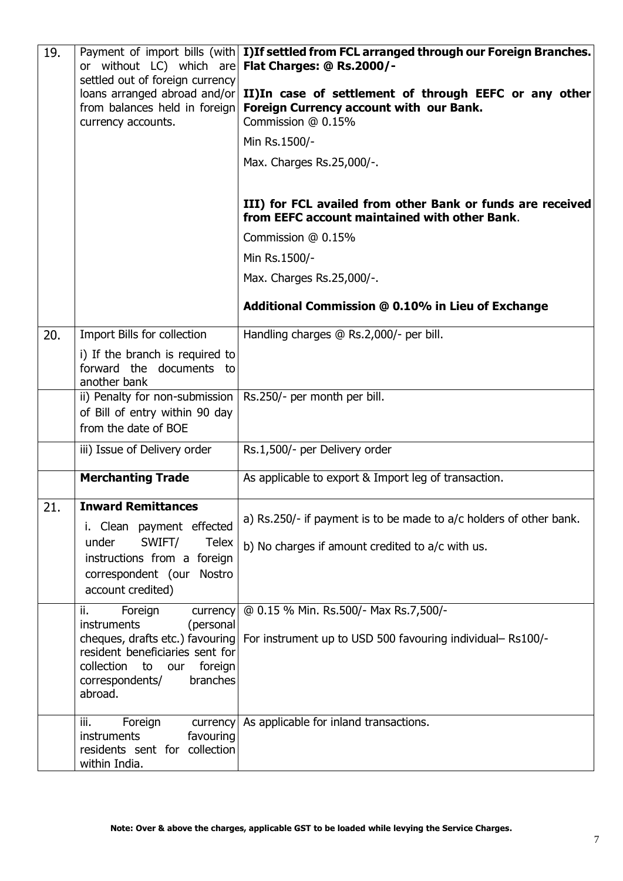| 19. | or without LC) which are Flat Charges: @ Rs.2000/-<br>settled out of foreign currency<br>loans arranged abroad and/or<br>from balances held in foreign<br>currency accounts.                                 | Payment of import bills (with I)If settled from FCL arranged through our Foreign Branches.<br>II)In case of settlement of through EEFC or any other<br>Foreign Currency account with our Bank.<br>Commission @ 0.15%<br>Min Rs.1500/-<br>Max. Charges Rs.25,000/-. |
|-----|--------------------------------------------------------------------------------------------------------------------------------------------------------------------------------------------------------------|--------------------------------------------------------------------------------------------------------------------------------------------------------------------------------------------------------------------------------------------------------------------|
|     |                                                                                                                                                                                                              | III) for FCL availed from other Bank or funds are received<br>from EEFC account maintained with other Bank.                                                                                                                                                        |
|     |                                                                                                                                                                                                              | Commission @ 0.15%                                                                                                                                                                                                                                                 |
|     |                                                                                                                                                                                                              | Min Rs.1500/-                                                                                                                                                                                                                                                      |
|     |                                                                                                                                                                                                              | Max. Charges Rs.25,000/-.                                                                                                                                                                                                                                          |
|     |                                                                                                                                                                                                              | Additional Commission @ 0.10% in Lieu of Exchange                                                                                                                                                                                                                  |
| 20. | Import Bills for collection                                                                                                                                                                                  | Handling charges @ Rs.2,000/- per bill.                                                                                                                                                                                                                            |
|     | i) If the branch is required to<br>forward the documents to<br>another bank                                                                                                                                  |                                                                                                                                                                                                                                                                    |
|     | ii) Penalty for non-submission<br>of Bill of entry within 90 day<br>from the date of BOE                                                                                                                     | Rs.250/- per month per bill.                                                                                                                                                                                                                                       |
|     | iii) Issue of Delivery order                                                                                                                                                                                 | Rs.1,500/- per Delivery order                                                                                                                                                                                                                                      |
|     | <b>Merchanting Trade</b>                                                                                                                                                                                     | As applicable to export & Import leg of transaction.                                                                                                                                                                                                               |
| 21. | <b>Inward Remittances</b><br>i. Clean payment effected<br>SWIFT/<br>under<br><b>Telex</b><br>instructions from a foreign<br>correspondent (our<br>Nostro<br>account credited)                                | a) Rs.250/- if payment is to be made to a/c holders of other bank.<br>b) No charges if amount credited to a/c with us.                                                                                                                                             |
|     | Foreign<br>ii.<br>currency<br>instruments<br>(personal<br>cheques, drafts etc.) favouring<br>resident beneficiaries sent for<br>collection<br>foreign<br>to<br>our<br>correspondents/<br>branches<br>abroad. | @ 0.15 % Min. Rs.500/- Max Rs.7,500/-<br>For instrument up to USD 500 favouring individual-Rs100/-                                                                                                                                                                 |
|     | iii.<br>Foreign<br>currency<br>instruments<br>favouring<br>residents sent for collection<br>within India.                                                                                                    | As applicable for inland transactions.                                                                                                                                                                                                                             |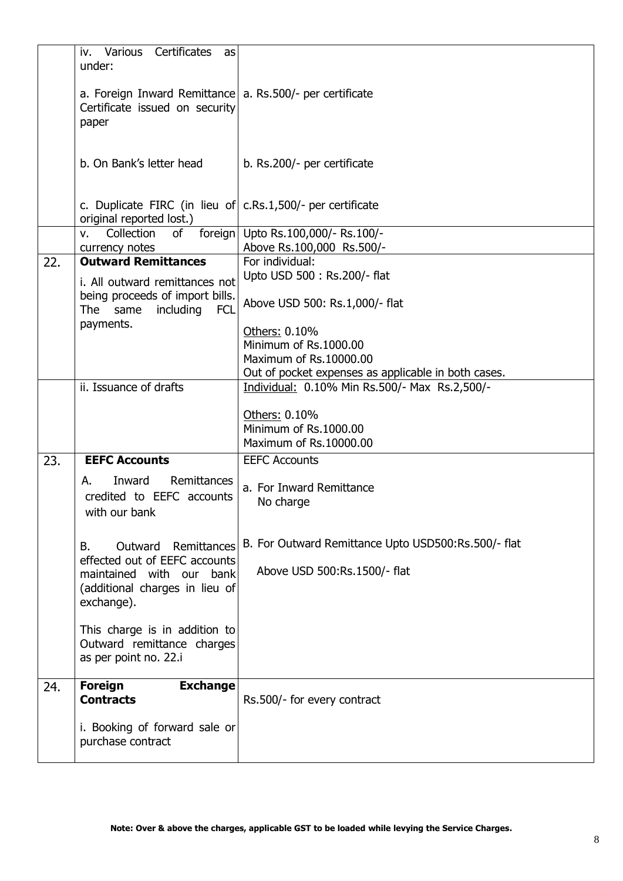|     | Various<br>Certificates<br>iv.<br>as<br>under:                                                            |                                                                  |
|-----|-----------------------------------------------------------------------------------------------------------|------------------------------------------------------------------|
|     | a. Foreign Inward Remittance a. Rs.500/- per certificate<br>Certificate issued on security<br>paper       |                                                                  |
|     | b. On Bank's letter head                                                                                  | b. Rs.200/- per certificate                                      |
|     | c. Duplicate FIRC (in lieu of c.Rs.1,500/- per certificate<br>original reported lost.)                    |                                                                  |
|     | Collection<br>of<br>foreign<br>v.                                                                         | Upto Rs.100,000/- Rs.100/-                                       |
| 22. | currency notes<br><b>Outward Remittances</b>                                                              | Above Rs.100,000 Rs.500/-<br>For individual:                     |
|     |                                                                                                           | Upto USD 500 : Rs.200/- flat                                     |
|     | i. All outward remittances not<br>being proceeds of import bills.                                         |                                                                  |
|     | including<br>The<br>same<br><b>FCL</b>                                                                    | Above USD 500: Rs.1,000/- flat                                   |
|     | payments.                                                                                                 | Others: 0.10%                                                    |
|     |                                                                                                           | Minimum of Rs.1000.00                                            |
|     |                                                                                                           | Maximum of Rs.10000.00                                           |
|     |                                                                                                           | Out of pocket expenses as applicable in both cases.              |
|     | ii. Issuance of drafts                                                                                    | Individual: 0.10% Min Rs.500/- Max Rs.2,500/-                    |
|     |                                                                                                           | Others: 0.10%<br>Minimum of Rs.1000.00<br>Maximum of Rs.10000.00 |
| 23. | <b>EEFC Accounts</b>                                                                                      | <b>EEFC Accounts</b>                                             |
|     | Remittances<br>Inward<br>А.<br>credited to EEFC accounts<br>with our bank                                 | a. For Inward Remittance<br>No charge                            |
|     | B.<br>Outward<br>Remittances                                                                              | B. For Outward Remittance Upto USD500:Rs.500/- flat              |
|     | effected out of EEFC accounts<br>maintained with our bank<br>(additional charges in lieu of<br>exchange). | Above USD 500:Rs.1500/- flat                                     |
|     | This charge is in addition to<br>Outward remittance charges<br>as per point no. 22.i                      |                                                                  |
| 24. | <b>Exchange</b><br><b>Foreign</b><br><b>Contracts</b>                                                     | Rs.500/- for every contract                                      |
|     | i. Booking of forward sale or<br>purchase contract                                                        |                                                                  |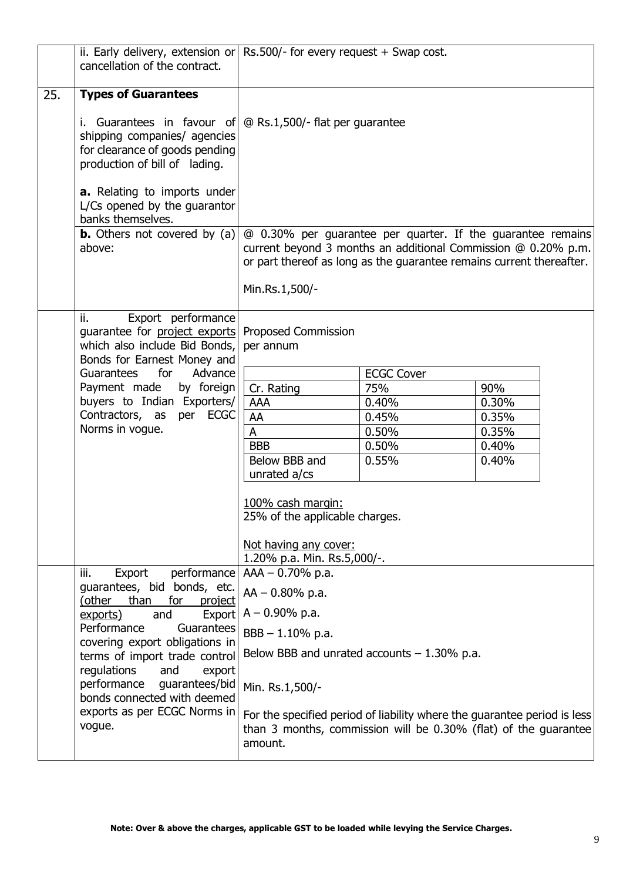|     | ii. Early delivery, extension or $\vert$ Rs.500/- for every request + Swap cost.<br>cancellation of the contract.                                                    |                                                      |                                               |                                                                                                                                                                                                      |
|-----|----------------------------------------------------------------------------------------------------------------------------------------------------------------------|------------------------------------------------------|-----------------------------------------------|------------------------------------------------------------------------------------------------------------------------------------------------------------------------------------------------------|
| 25. | <b>Types of Guarantees</b>                                                                                                                                           |                                                      |                                               |                                                                                                                                                                                                      |
|     | i. Guarantees in favour of $\omega$ Rs.1,500/- flat per guarantee<br>shipping companies/ agencies<br>for clearance of goods pending<br>production of bill of lading. |                                                      |                                               |                                                                                                                                                                                                      |
|     | a. Relating to imports under<br>L/Cs opened by the guarantor<br>banks themselves.                                                                                    |                                                      |                                               |                                                                                                                                                                                                      |
|     | <b>b.</b> Others not covered by $(a)$<br>above:                                                                                                                      |                                                      |                                               | @ 0.30% per guarantee per quarter. If the guarantee remains<br>current beyond 3 months an additional Commission @ 0.20% p.m.<br>or part thereof as long as the guarantee remains current thereafter. |
|     |                                                                                                                                                                      | Min.Rs.1,500/-                                       |                                               |                                                                                                                                                                                                      |
|     | Export performance<br>ii.<br>quarantee for project exports<br>which also include Bid Bonds,<br>Bonds for Earnest Money and                                           | Proposed Commission<br>per annum                     |                                               |                                                                                                                                                                                                      |
|     | for<br>Guarantees<br>Advance                                                                                                                                         |                                                      | <b>ECGC Cover</b>                             |                                                                                                                                                                                                      |
|     | Payment made<br>by foreign                                                                                                                                           | Cr. Rating                                           | 75%                                           | 90%                                                                                                                                                                                                  |
|     | buyers to Indian Exporters/                                                                                                                                          | <b>AAA</b>                                           | 0.40%                                         | 0.30%                                                                                                                                                                                                |
|     | Contractors, as per ECGC                                                                                                                                             | AA                                                   | 0.45%                                         | 0.35%                                                                                                                                                                                                |
|     | Norms in vogue.                                                                                                                                                      | $\mathsf{A}$                                         | 0.50%                                         | 0.35%                                                                                                                                                                                                |
|     |                                                                                                                                                                      | <b>BBB</b>                                           | 0.50%                                         | 0.40%                                                                                                                                                                                                |
|     |                                                                                                                                                                      | Below BBB and                                        | 0.55%                                         | 0.40%                                                                                                                                                                                                |
|     |                                                                                                                                                                      | unrated a/cs                                         |                                               |                                                                                                                                                                                                      |
|     |                                                                                                                                                                      | 100% cash margin:<br>25% of the applicable charges.  |                                               |                                                                                                                                                                                                      |
|     |                                                                                                                                                                      | Not having any cover:<br>1.20% p.a. Min. Rs.5,000/-. |                                               |                                                                                                                                                                                                      |
|     | iii.<br>Export<br>performance                                                                                                                                        | $AAA - 0.70% p.a.$                                   |                                               |                                                                                                                                                                                                      |
|     | guarantees, bid bonds, etc.<br>(other<br>than<br>for<br>project                                                                                                      | $AA - 0.80\%$ p.a.                                   |                                               |                                                                                                                                                                                                      |
|     | and<br>Export<br>exports)<br>Performance<br>Guarantees                                                                                                               | $A - 0.90\%$ p.a.                                    |                                               |                                                                                                                                                                                                      |
|     | covering export obligations in                                                                                                                                       | $BBB - 1.10\%$ p.a.                                  |                                               |                                                                                                                                                                                                      |
|     | terms of import trade control<br>regulations<br>and<br>export                                                                                                        |                                                      | Below BBB and unrated accounts $-1.30\%$ p.a. |                                                                                                                                                                                                      |
|     | performance<br>guarantees/bid<br>bonds connected with deemed                                                                                                         | Min. Rs.1,500/-                                      |                                               |                                                                                                                                                                                                      |
|     | exports as per ECGC Norms in<br>vogue.                                                                                                                               | amount.                                              |                                               | For the specified period of liability where the guarantee period is less<br>than 3 months, commission will be 0.30% (flat) of the guarantee                                                          |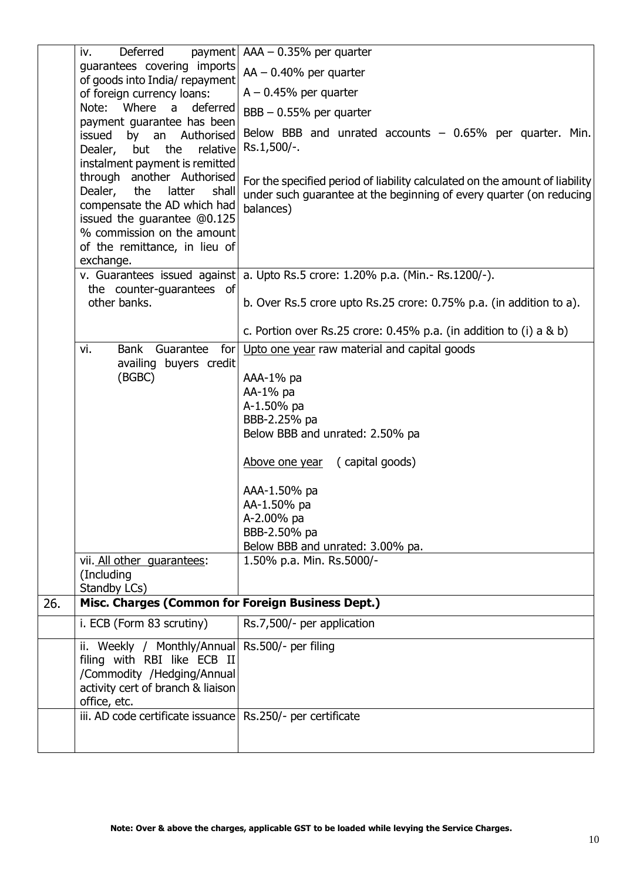|     | iv.<br>Deferred                                                 | payment $ $ AAA - 0.35% per quarter                                            |
|-----|-----------------------------------------------------------------|--------------------------------------------------------------------------------|
|     | guarantees covering imports                                     | $AA - 0.40\%$ per quarter                                                      |
|     | of goods into India/ repayment                                  |                                                                                |
|     | of foreign currency loans:                                      | $A - 0.45\%$ per quarter                                                       |
|     | Where<br>Note:<br>deferred<br>a<br>payment guarantee has been   | $BBB - 0.55%$ per quarter                                                      |
|     | Authorised<br>issued<br>by an                                   | Below BBB and unrated accounts $-0.65%$ per quarter. Min.                      |
|     | Dealer, but the<br>relative                                     | Rs.1,500/-.                                                                    |
|     | instalment payment is remitted                                  |                                                                                |
|     | through another Authorised                                      | For the specified period of liability calculated on the amount of liability    |
|     | Dealer,<br>latter<br>shall<br>the                               | under such guarantee at the beginning of every quarter (on reducing            |
|     | compensate the AD which had<br>issued the guarantee @0.125      | balances)                                                                      |
|     | % commission on the amount                                      |                                                                                |
|     | of the remittance, in lieu of                                   |                                                                                |
|     | exchange.                                                       |                                                                                |
|     |                                                                 | v. Guarantees issued against a. Upto Rs.5 crore: 1.20% p.a. (Min.- Rs.1200/-). |
|     | the counter-guarantees of                                       |                                                                                |
|     | other banks.                                                    | b. Over Rs.5 crore upto Rs.25 crore: 0.75% p.a. (in addition to a).            |
|     |                                                                 | c. Portion over Rs.25 crore: $0.45\%$ p.a. (in addition to (i) a & b)          |
|     | vi.<br>Guarantee<br><b>Bank</b>                                 | for Upto one year raw material and capital goods                               |
|     | availing buyers credit                                          |                                                                                |
|     | (BGBC)                                                          | AAA-1% pa<br>AA-1% pa                                                          |
|     |                                                                 | A-1.50% pa                                                                     |
|     |                                                                 | BBB-2.25% pa                                                                   |
|     |                                                                 | Below BBB and unrated: 2.50% pa                                                |
|     |                                                                 |                                                                                |
|     |                                                                 | (capital goods)<br>Above one year                                              |
|     |                                                                 | AAA-1.50% pa                                                                   |
|     |                                                                 | AA-1.50% pa                                                                    |
|     |                                                                 | A-2.00% pa                                                                     |
|     |                                                                 | BBB-2.50% pa                                                                   |
|     |                                                                 | Below BBB and unrated: 3.00% pa.                                               |
|     | vii. All other quarantees:                                      | 1.50% p.a. Min. Rs.5000/-                                                      |
|     | (Including<br>Standby LCs)                                      |                                                                                |
| 26. | Misc. Charges (Common for Foreign Business Dept.)               |                                                                                |
|     | i. ECB (Form 83 scrutiny)                                       | Rs.7,500/- per application                                                     |
|     |                                                                 |                                                                                |
|     | ii. Weekly / Monthly/Annual Rs.500/- per filing                 |                                                                                |
|     | filing with RBI like ECB II                                     |                                                                                |
|     | /Commodity /Hedging/Annual<br>activity cert of branch & liaison |                                                                                |
|     | office, etc.                                                    |                                                                                |
|     | iii. AD code certificate issuance   Rs.250/- per certificate    |                                                                                |
|     |                                                                 |                                                                                |
|     |                                                                 |                                                                                |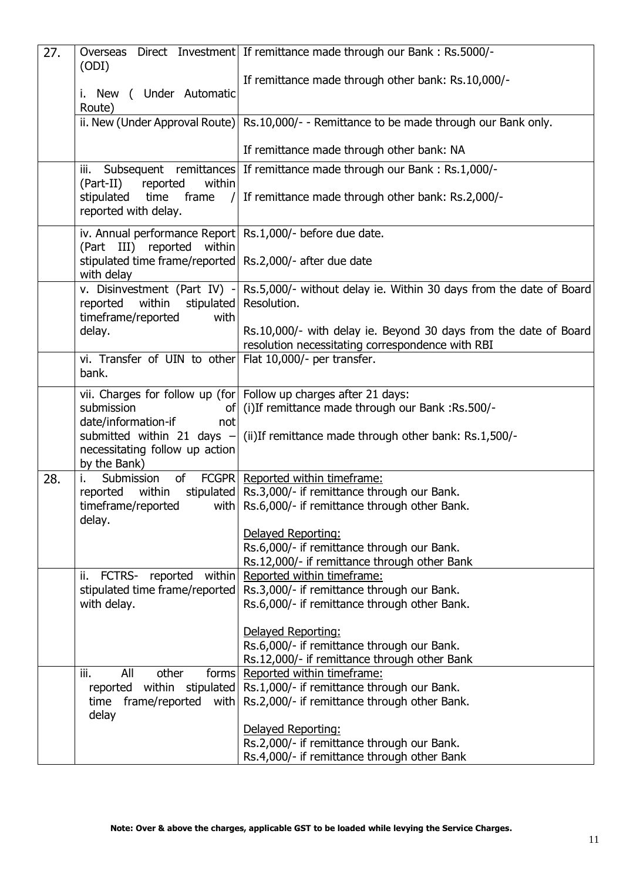| 27. | (ODI)                                                                                                                                                                | Overseas Direct Investment If remittance made through our Bank: Rs.5000/-                                                                                                                                                                                                     |
|-----|----------------------------------------------------------------------------------------------------------------------------------------------------------------------|-------------------------------------------------------------------------------------------------------------------------------------------------------------------------------------------------------------------------------------------------------------------------------|
|     | i. New ( Under Automatic<br>Route)                                                                                                                                   | If remittance made through other bank: Rs.10,000/-                                                                                                                                                                                                                            |
|     |                                                                                                                                                                      | ii. New (Under Approval Route) Rs.10,000/- - Remittance to be made through our Bank only.                                                                                                                                                                                     |
|     |                                                                                                                                                                      | If remittance made through other bank: NA                                                                                                                                                                                                                                     |
|     | iii.<br>within<br>(Part-II)<br>reported<br>stipulated<br>reported with delay.                                                                                        | Subsequent remittances If remittance made through our Bank: Rs.1,000/-<br>time $\frac{1}{2}$ frame / If remittance made through other bank: Rs.2,000/-                                                                                                                        |
|     | iv. Annual performance Report Rs.1,000/- before due date.<br>(Part III) reported<br>within<br>stipulated time frame/reported Rs.2,000/- after due date<br>with delay |                                                                                                                                                                                                                                                                               |
|     | within<br>reported<br>timeframe/reported<br>with                                                                                                                     | v. Disinvestment (Part IV) - Rs.5,000/- without delay ie. Within 30 days from the date of Board<br>stipulated   Resolution.                                                                                                                                                   |
|     | delay.                                                                                                                                                               | Rs.10,000/- with delay ie. Beyond 30 days from the date of Board<br>resolution necessitating correspondence with RBI                                                                                                                                                          |
|     | vi. Transfer of UIN to other Flat 10,000/- per transfer.<br>bank.                                                                                                    |                                                                                                                                                                                                                                                                               |
|     | submission<br>οf<br>date/information-if<br>not<br>necessitating follow up action<br>by the Bank)                                                                     | vii. Charges for follow up (for   Follow up charges after 21 days:<br>(i) If remittance made through our Bank : Rs. 500/-<br>submitted within 21 days $-$ (ii) If remittance made through other bank: Rs.1,500/-                                                              |
| 28. | of<br>Submission<br>reported<br>within<br>timeframe/reported<br>delay.                                                                                               | FCGPR Reported within timeframe:<br>stipulated   Rs.3,000/- if remittance through our Bank.<br>with $\vert$ Rs.6,000/- if remittance through other Bank.<br>Delayed Reporting:<br>Rs.6,000/- if remittance through our Bank.<br>Rs.12,000/- if remittance through other Bank  |
|     | FCTRS-<br>within<br>ii.<br>reported<br>stipulated time frame/reported<br>with delay.                                                                                 | Reported within timeframe:<br>Rs.3,000/- if remittance through our Bank.<br>Rs.6,000/- if remittance through other Bank.<br>Delayed Reporting:<br>Rs.6,000/- if remittance through our Bank.<br>Rs.12,000/- if remittance through other Bank                                  |
|     | other<br>iii.<br>All<br>frame/reported<br>with<br>time<br>delay                                                                                                      | forms Reported within time frame:<br>reported within stipulated Rs.1,000/- if remittance through our Bank.<br>Rs.2,000/- if remittance through other Bank.<br>Delayed Reporting:<br>Rs.2,000/- if remittance through our Bank.<br>Rs.4,000/- if remittance through other Bank |